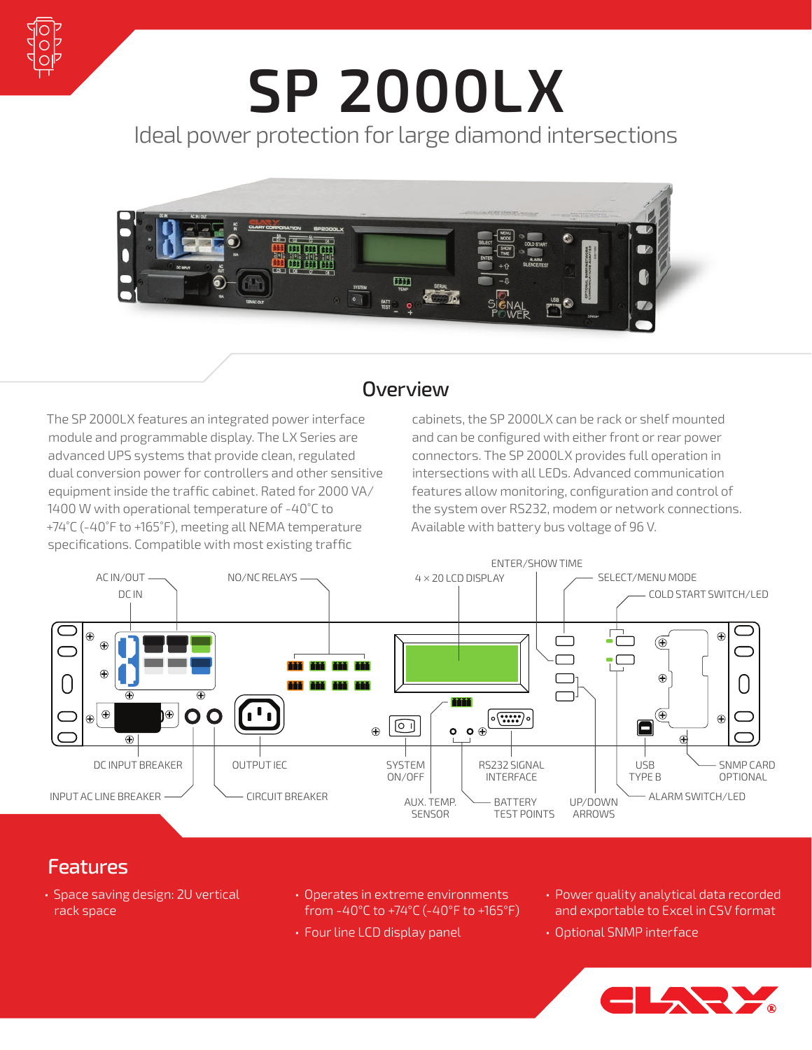

## **SP 2000LX** Ideal power protection for large diamond intersections



## **Overview**

The SP 2000LX features an integrated power interface module and programmable display. The LX Series are advanced UPS systems that provide clean, regulated dual conversion power for controllers and other sensitive equipment inside the traffic cabinet. Rated for 2000 VA/ 1400 W with operational temperature of -40°C to +74˚C (‑40˚F to +165˚F), meeting all NEMA temperature specifications. Compatible with most existing traffic

cabinets, the SP 2000LX can be rack or shelf mounted and can be configured with either front or rear power connectors. The SP 2000LX provides full operation in intersections with all LEDs. Advanced communication features allow monitoring, configuration and control of the system over RS232, modem or network connections. Available with battery bus voltage of 96 V.



## Features

- Space saving design: 2U vertical rack space
- Operates in extreme environments from -40°C to +74°C (-40°F to +165°F)
- Four line LCD display panel
- Power quality analytical data recorded and exportable to Excel in CSV format
- Optional SNMP interface